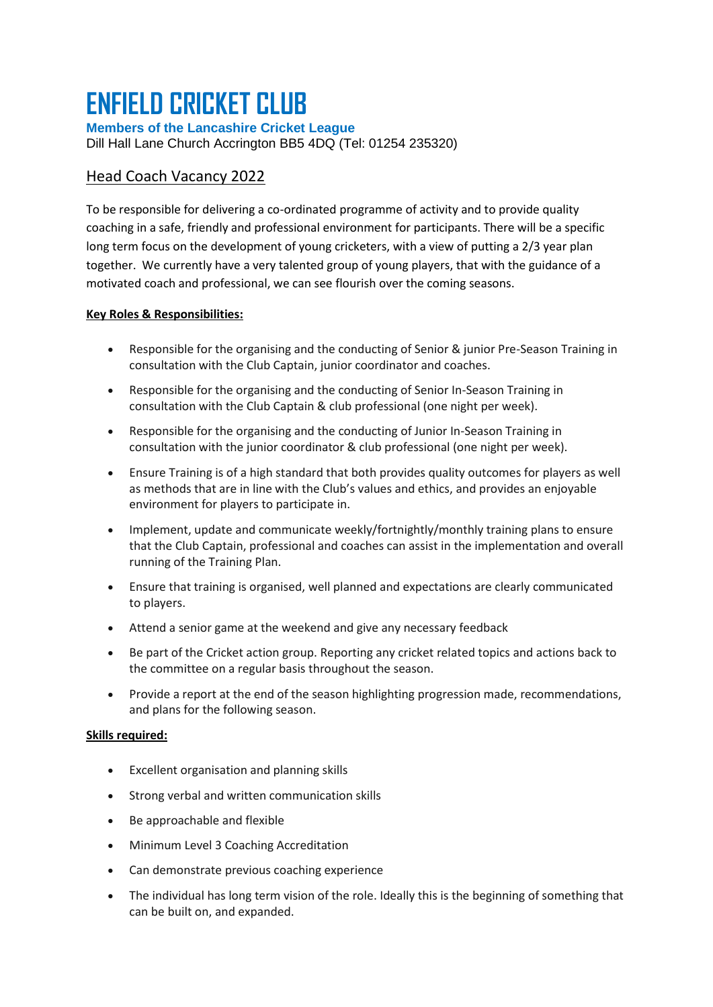## **ENFIELD CRICKET CLUB**

**Members of the Lancashire Cricket League** Dill Hall Lane Church Accrington BB5 4DQ (Tel: 01254 235320)

## Head Coach Vacancy 2022

To be responsible for delivering a co-ordinated programme of activity and to provide quality coaching in a safe, friendly and professional environment for participants. There will be a specific long term focus on the development of young cricketers, with a view of putting a 2/3 year plan together. We currently have a very talented group of young players, that with the guidance of a motivated coach and professional, we can see flourish over the coming seasons.

## **Key Roles & Responsibilities:**

- Responsible for the organising and the conducting of Senior & junior Pre-Season Training in consultation with the Club Captain, junior coordinator and coaches.
- Responsible for the organising and the conducting of Senior In-Season Training in consultation with the Club Captain & club professional (one night per week).
- Responsible for the organising and the conducting of Junior In-Season Training in consultation with the junior coordinator & club professional (one night per week).
- Ensure Training is of a high standard that both provides quality outcomes for players as well as methods that are in line with the Club's values and ethics, and provides an enjoyable environment for players to participate in.
- Implement, update and communicate weekly/fortnightly/monthly training plans to ensure that the Club Captain, professional and coaches can assist in the implementation and overall running of the Training Plan.
- Ensure that training is organised, well planned and expectations are clearly communicated to players.
- Attend a senior game at the weekend and give any necessary feedback
- Be part of the Cricket action group. Reporting any cricket related topics and actions back to the committee on a regular basis throughout the season.
- Provide a report at the end of the season highlighting progression made, recommendations, and plans for the following season.

## **Skills required:**

- Excellent organisation and planning skills
- Strong verbal and written communication skills
- Be approachable and flexible
- Minimum Level 3 Coaching Accreditation
- Can demonstrate previous coaching experience
- The individual has long term vision of the role. Ideally this is the beginning of something that can be built on, and expanded.